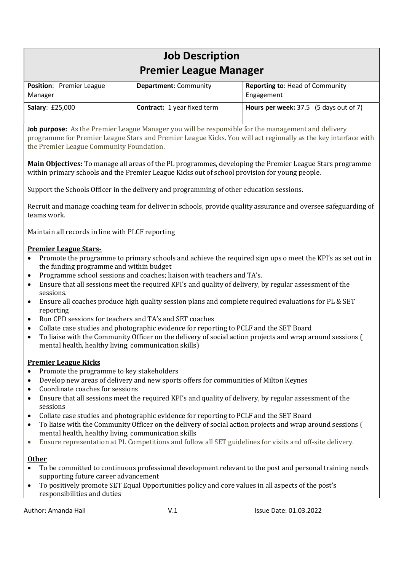# Job Description Premier League Manager

| <b>Position:</b> Premier League<br>Manager | <b>Department: Community</b>       | <b>Reporting to: Head of Community</b><br>Engagement |
|--------------------------------------------|------------------------------------|------------------------------------------------------|
| <b>Salary: £25,000</b>                     | <b>Contract:</b> 1 year fixed term | <b>Hours per week:</b> $37.5$ (5 days out of 7)      |

Job purpose: As the Premier League Manager you will be responsible for the management and delivery programme for Premier League Stars and Premier League Kicks. You will act regionally as the key interface with the Premier League Community Foundation.

Main Objectives: To manage all areas of the PL programmes, developing the Premier League Stars programme within primary schools and the Premier League Kicks out of school provision for young people.

Support the Schools Officer in the delivery and programming of other education sessions.

Recruit and manage coaching team for deliver in schools, provide quality assurance and oversee safeguarding of teams work.

Maintain all records in line with PLCF reporting

# Premier League Stars-

- Promote the programme to primary schools and achieve the required sign ups o meet the KPI's as set out in the funding programme and within budget
- Programme school sessions and coaches; liaison with teachers and TA's.
- Ensure that all sessions meet the required KPI's and quality of delivery, by regular assessment of the sessions.
- Ensure all coaches produce high quality session plans and complete required evaluations for PL & SET reporting
- Run CPD sessions for teachers and TA's and SET coaches
- Collate case studies and photographic evidence for reporting to PCLF and the SET Board
- To liaise with the Community Officer on the delivery of social action projects and wrap around sessions ( mental health, healthy living, communication skills)

# Premier League Kicks

- Promote the programme to key stakeholders
- Develop new areas of delivery and new sports offers for communities of Milton Keynes
- Coordinate coaches for sessions
- Ensure that all sessions meet the required KPI's and quality of delivery, by regular assessment of the sessions
- Collate case studies and photographic evidence for reporting to PCLF and the SET Board
- To liaise with the Community Officer on the delivery of social action projects and wrap around sessions ( mental health, healthy living, communication skills
- Ensure representation at PL Competitions and follow all SET guidelines for visits and off-site delivery.

# **Other**

- To be committed to continuous professional development relevant to the post and personal training needs supporting future career advancement
- To positively promote SET Equal Opportunities policy and core values in all aspects of the post's responsibilities and duties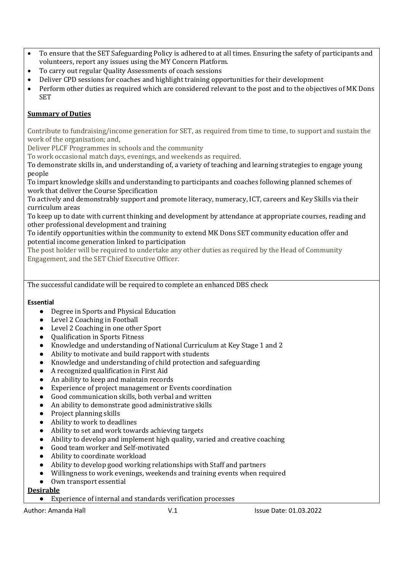- To ensure that the SET Safeguarding Policy is adhered to at all times. Ensuring the safety of participants and volunteers, report any issues using the MY Concern Platform.
- To carry out regular Quality Assessments of coach sessions
- Deliver CPD sessions for coaches and highlight training opportunities for their development
- Perform other duties as required which are considered relevant to the post and to the objectives of MK Dons SET

# Summary of Duties

Contribute to fundraising/income generation for SET, as required from time to time, to support and sustain the work of the organisation; and,

Deliver PLCF Programmes in schools and the community

To work occasional match days, evenings, and weekends as required.

To demonstrate skills in, and understanding of, a variety of teaching and learning strategies to engage young people

To impart knowledge skills and understanding to participants and coaches following planned schemes of work that deliver the Course Specification

To actively and demonstrably support and promote literacy, numeracy, ICT, careers and Key Skills via their curriculum areas

To keep up to date with current thinking and development by attendance at appropriate courses, reading and other professional development and training

To identify opportunities within the community to extend MK Dons SET community education offer and potential income generation linked to participation

The post holder will be required to undertake any other duties as required by the Head of Community Engagement, and the SET Chief Executive Officer.

The successful candidate will be required to complete an enhanced DBS check

# Essential

- Degree in Sports and Physical Education
- Level 2 Coaching in Football
- Level 2 Coaching in one other Sport
- Qualification in Sports Fitness
- Knowledge and understanding of National Curriculum at Key Stage 1 and 2
- Ability to motivate and build rapport with students
- Knowledge and understanding of child protection and safeguarding
- A recognized qualification in First Aid
- An ability to keep and maintain records
- Experience of project management or Events coordination
- Good communication skills, both verbal and written
- An ability to demonstrate good administrative skills
- Project planning skills
- Ability to work to deadlines
- Ability to set and work towards achieving targets
- Ability to develop and implement high quality, varied and creative coaching
- Good team worker and Self-motivated
- Ability to coordinate workload
- Ability to develop good working relationships with Staff and partners
- Willingness to work evenings, weekends and training events when required
- Own transport essential

# Desirable

● Experience of internal and standards verification processes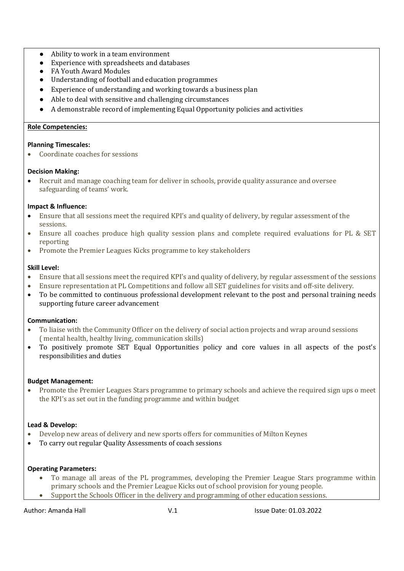- Ability to work in a team environment
- Experience with spreadsheets and databases
- FA Youth Award Modules
- Understanding of football and education programmes
- Experience of understanding and working towards a business plan
- Able to deal with sensitive and challenging circumstances
- A demonstrable record of implementing Equal Opportunity policies and activities

#### Role Competencies:

#### Planning Timescales:

Coordinate coaches for sessions

#### Decision Making:

 Recruit and manage coaching team for deliver in schools, provide quality assurance and oversee safeguarding of teams' work.

#### Impact & Influence:

- Ensure that all sessions meet the required KPI's and quality of delivery, by regular assessment of the sessions.
- Ensure all coaches produce high quality session plans and complete required evaluations for PL & SET reporting
- Promote the Premier Leagues Kicks programme to key stakeholders

#### Skill Level:

- Ensure that all sessions meet the required KPI's and quality of delivery, by regular assessment of the sessions
- Ensure representation at PL Competitions and follow all SET guidelines for visits and off-site delivery.
- To be committed to continuous professional development relevant to the post and personal training needs supporting future career advancement

#### Communication:

- To liaise with the Community Officer on the delivery of social action projects and wrap around sessions ( mental health, healthy living, communication skills)
- To positively promote SET Equal Opportunities policy and core values in all aspects of the post's responsibilities and duties

#### Budget Management:

 Promote the Premier Leagues Stars programme to primary schools and achieve the required sign ups o meet the KPI's as set out in the funding programme and within budget

# Lead & Develop:

- Develop new areas of delivery and new sports offers for communities of Milton Keynes
- To carry out regular Quality Assessments of coach sessions

#### Operating Parameters:

- To manage all areas of the PL programmes, developing the Premier League Stars programme within primary schools and the Premier League Kicks out of school provision for young people.
- Support the Schools Officer in the delivery and programming of other education sessions.